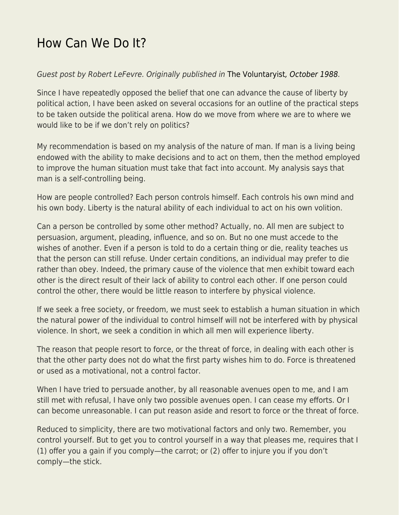## [How Can We Do It?](https://everything-voluntary.com/how-can-we-do-it)

## Guest post by Robert LeFevre. Originally published in [The Voluntaryist](http://voluntaryist.com/backissues/034.pdf)[, October 1988.](http://voluntaryist.com/backissues/034.pdf)

Since I have repeatedly opposed the belief that one can advance the cause of liberty by political action, I have been asked on several occasions for an outline of the practical steps to be taken outside the political arena. How do we move from where we are to where we would like to be if we don't rely on politics?

My recommendation is based on my analysis of the nature of man. If man is a living being endowed with the ability to make decisions and to act on them, then the method employed to improve the human situation must take that fact into account. My analysis says that man is a self-controlling being.

How are people controlled? Each person controls himself. Each controls his own mind and his own body. Liberty is the natural ability of each individual to act on his own volition.

Can a person be controlled by some other method? Actually, no. All men are subject to persuasion, argument, pleading, influence, and so on. But no one must accede to the wishes of another. Even if a person is told to do a certain thing or die, reality teaches us that the person can still refuse. Under certain conditions, an individual may prefer to die rather than obey. Indeed, the primary cause of the violence that men exhibit toward each other is the direct result of their lack of ability to control each other. If one person could control the other, there would be little reason to interfere by physical violence.

If we seek a free society, or freedom, we must seek to establish a human situation in which the natural power of the individual to control himself will not be interfered with by physical violence. In short, we seek a condition in which all men will experience liberty.

The reason that people resort to force, or the threat of force, in dealing with each other is that the other party does not do what the first party wishes him to do. Force is threatened or used as a motivational, not a control factor.

When I have tried to persuade another, by all reasonable avenues open to me, and I am still met with refusal, I have only two possible avenues open. I can cease my efforts. Or I can become unreasonable. I can put reason aside and resort to force or the threat of force.

Reduced to simplicity, there are two motivational factors and only two. Remember, you control yourself. But to get you to control yourself in a way that pleases me, requires that I (1) offer you a gain if you comply—the carrot; or (2) offer to injure you if you don't comply—the stick.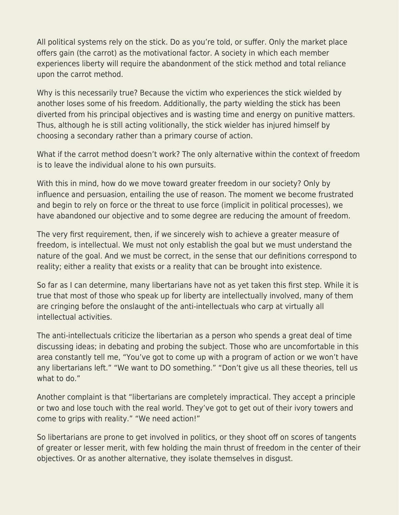All political systems rely on the stick. Do as you're told, or suffer. Only the market place offers gain (the carrot) as the motivational factor. A society in which each member experiences liberty will require the abandonment of the stick method and total reliance upon the carrot method.

Why is this necessarily true? Because the victim who experiences the stick wielded by another loses some of his freedom. Additionally, the party wielding the stick has been diverted from his principal objectives and is wasting time and energy on punitive matters. Thus, although he is still acting volitionally, the stick wielder has injured himself by choosing a secondary rather than a primary course of action.

What if the carrot method doesn't work? The only alternative within the context of freedom is to leave the individual alone to his own pursuits.

With this in mind, how do we move toward greater freedom in our society? Only by influence and persuasion, entailing the use of reason. The moment we become frustrated and begin to rely on force or the threat to use force (implicit in political processes), we have abandoned our objective and to some degree are reducing the amount of freedom.

The very first requirement, then, if we sincerely wish to achieve a greater measure of freedom, is intellectual. We must not only establish the goal but we must understand the nature of the goal. And we must be correct, in the sense that our definitions correspond to reality; either a reality that exists or a reality that can be brought into existence.

So far as I can determine, many libertarians have not as yet taken this first step. While it is true that most of those who speak up for liberty are intellectually involved, many of them are cringing before the onslaught of the anti-intellectuals who carp at virtually all intellectual activities.

The anti-intellectuals criticize the libertarian as a person who spends a great deal of time discussing ideas; in debating and probing the subject. Those who are uncomfortable in this area constantly tell me, "You've got to come up with a program of action or we won't have any libertarians left." "We want to DO something." "Don't give us all these theories, tell us what to do."

Another complaint is that "libertarians are completely impractical. They accept a principle or two and lose touch with the real world. They've got to get out of their ivory towers and come to grips with reality." "We need action!"

So libertarians are prone to get involved in politics, or they shoot off on scores of tangents of greater or lesser merit, with few holding the main thrust of freedom in the center of their objectives. Or as another alternative, they isolate themselves in disgust.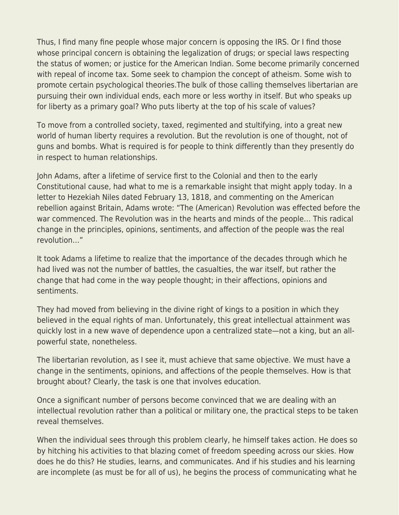Thus, I find many fine people whose major concern is opposing the IRS. Or I find those whose principal concern is obtaining the legalization of drugs; or special laws respecting the status of women; or justice for the American Indian. Some become primarily concerned with repeal of income tax. Some seek to champion the concept of atheism. Some wish to promote certain psychological theories.The bulk of those calling themselves libertarian are pursuing their own individual ends, each more or less worthy in itself. But who speaks up for liberty as a primary goal? Who puts liberty at the top of his scale of values?

To move from a controlled society, taxed, regimented and stultifying, into a great new world of human liberty requires a revolution. But the revolution is one of thought, not of guns and bombs. What is required is for people to think differently than they presently do in respect to human relationships.

John Adams, after a lifetime of service first to the Colonial and then to the early Constitutional cause, had what to me is a remarkable insight that might apply today. In a letter to Hezekiah Niles dated February 13, 1818, and commenting on the American rebellion against Britain, Adams wrote: "The (American) Revolution was effected before the war commenced. The Revolution was in the hearts and minds of the people… This radical change in the principles, opinions, sentiments, and affection of the people was the real revolution…"

It took Adams a lifetime to realize that the importance of the decades through which he had lived was not the number of battles, the casualties, the war itself, but rather the change that had come in the way people thought; in their affections, opinions and sentiments.

They had moved from believing in the divine right of kings to a position in which they believed in the equal rights of man. Unfortunately, this great intellectual attainment was quickly lost in a new wave of dependence upon a centralized state—not a king, but an allpowerful state, nonetheless.

The libertarian revolution, as I see it, must achieve that same objective. We must have a change in the sentiments, opinions, and affections of the people themselves. How is that brought about? Clearly, the task is one that involves education.

Once a significant number of persons become convinced that we are dealing with an intellectual revolution rather than a political or military one, the practical steps to be taken reveal themselves.

When the individual sees through this problem clearly, he himself takes action. He does so by hitching his activities to that blazing comet of freedom speeding across our skies. How does he do this? He studies, learns, and communicates. And if his studies and his learning are incomplete (as must be for all of us), he begins the process of communicating what he